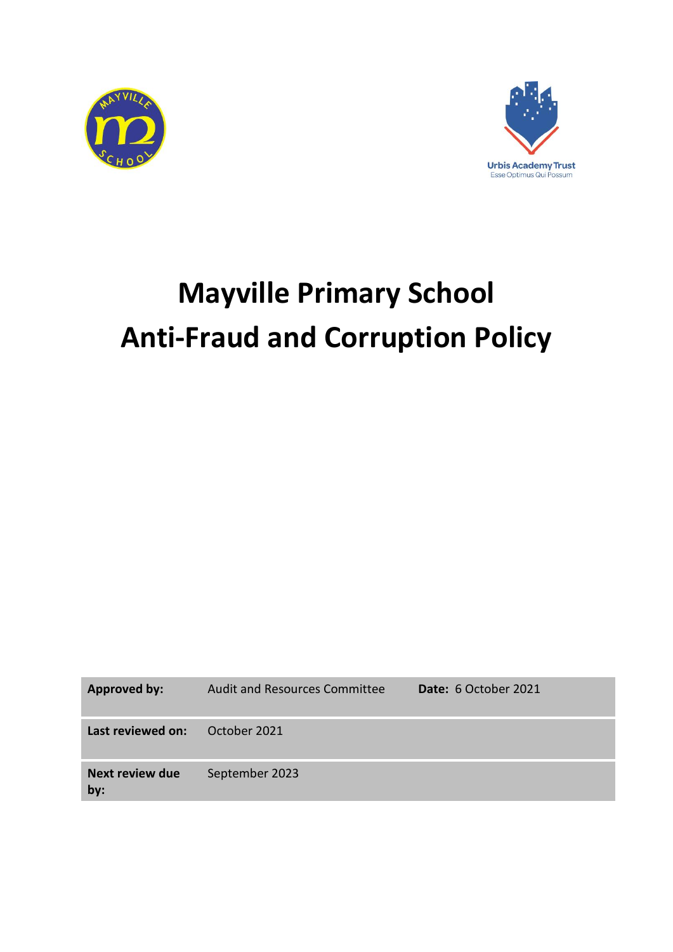



# **Mayville Primary School Anti-Fraud and Corruption Policy**

| <b>Approved by:</b>           | <b>Audit and Resources Committee</b> | Date: 6 October 2021 |
|-------------------------------|--------------------------------------|----------------------|
| Last reviewed on:             | October 2021                         |                      |
| <b>Next review due</b><br>by: | September 2023                       |                      |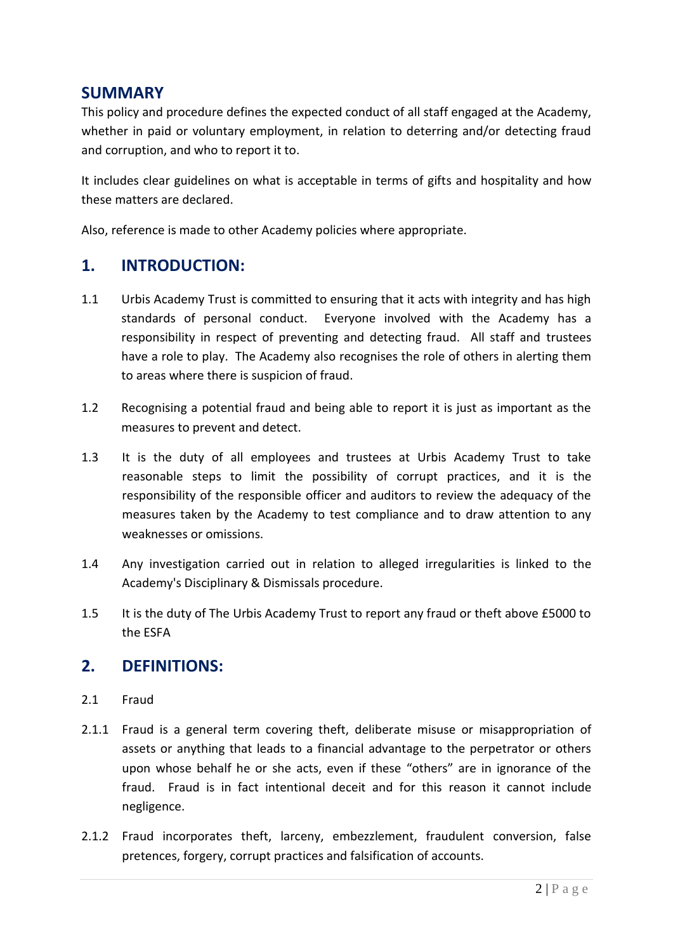### **SUMMARY**

This policy and procedure defines the expected conduct of all staff engaged at the Academy, whether in paid or voluntary employment, in relation to deterring and/or detecting fraud and corruption, and who to report it to.

It includes clear guidelines on what is acceptable in terms of gifts and hospitality and how these matters are declared.

Also, reference is made to other Academy policies where appropriate.

# **1. INTRODUCTION:**

- 1.1 Urbis Academy Trust is committed to ensuring that it acts with integrity and has high standards of personal conduct. Everyone involved with the Academy has a responsibility in respect of preventing and detecting fraud. All staff and trustees have a role to play. The Academy also recognises the role of others in alerting them to areas where there is suspicion of fraud.
- 1.2 Recognising a potential fraud and being able to report it is just as important as the measures to prevent and detect.
- 1.3 It is the duty of all employees and trustees at Urbis Academy Trust to take reasonable steps to limit the possibility of corrupt practices, and it is the responsibility of the responsible officer and auditors to review the adequacy of the measures taken by the Academy to test compliance and to draw attention to any weaknesses or omissions.
- 1.4 Any investigation carried out in relation to alleged irregularities is linked to the Academy's Disciplinary & Dismissals procedure.
- 1.5 It is the duty of The Urbis Academy Trust to report any fraud or theft above £5000 to the ESFA

### **2. DEFINITIONS:**

- 2.1 Fraud
- 2.1.1 Fraud is a general term covering theft, deliberate misuse or misappropriation of assets or anything that leads to a financial advantage to the perpetrator or others upon whose behalf he or she acts, even if these "others" are in ignorance of the fraud. Fraud is in fact intentional deceit and for this reason it cannot include negligence.
- 2.1.2 Fraud incorporates theft, larceny, embezzlement, fraudulent conversion, false pretences, forgery, corrupt practices and falsification of accounts.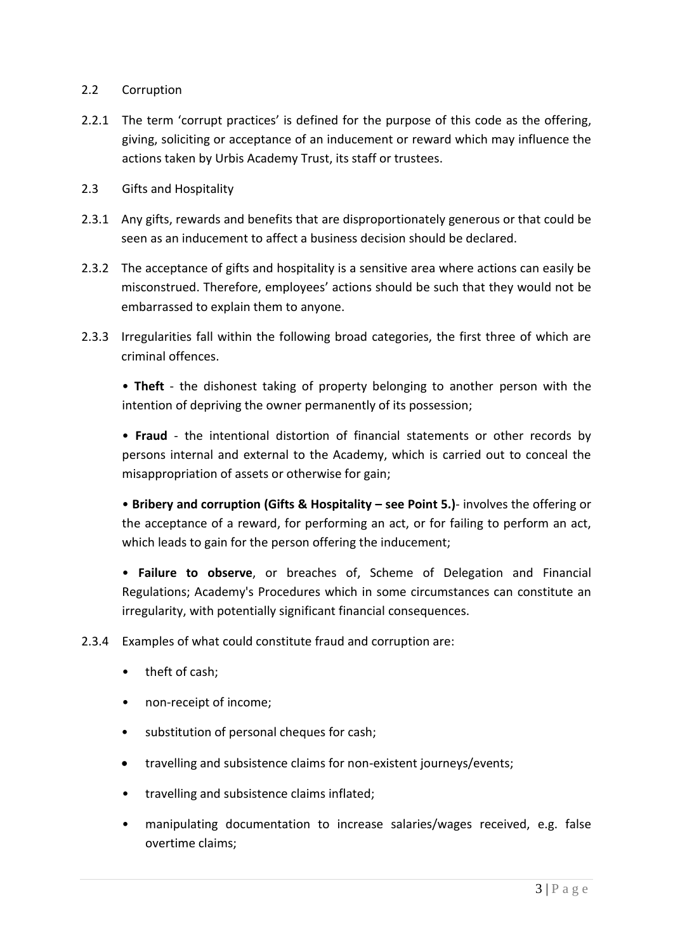#### 2.2 Corruption

- 2.2.1 The term 'corrupt practices' is defined for the purpose of this code as the offering, giving, soliciting or acceptance of an inducement or reward which may influence the actions taken by Urbis Academy Trust, its staff or trustees.
- 2.3 Gifts and Hospitality
- 2.3.1 Any gifts, rewards and benefits that are disproportionately generous or that could be seen as an inducement to affect a business decision should be declared.
- 2.3.2 The acceptance of gifts and hospitality is a sensitive area where actions can easily be misconstrued. Therefore, employees' actions should be such that they would not be embarrassed to explain them to anyone.
- 2.3.3 Irregularities fall within the following broad categories, the first three of which are criminal offences.

• **Theft** - the dishonest taking of property belonging to another person with the intention of depriving the owner permanently of its possession;

• **Fraud** - the intentional distortion of financial statements or other records by persons internal and external to the Academy, which is carried out to conceal the misappropriation of assets or otherwise for gain;

• **Bribery and corruption (Gifts & Hospitality – see Point 5.)**- involves the offering or the acceptance of a reward, for performing an act, or for failing to perform an act, which leads to gain for the person offering the inducement;

• **Failure to observe**, or breaches of, Scheme of Delegation and Financial Regulations; Academy's Procedures which in some circumstances can constitute an irregularity, with potentially significant financial consequences.

2.3.4 Examples of what could constitute fraud and corruption are:

- theft of cash;
- non-receipt of income;
- substitution of personal cheques for cash;
- travelling and subsistence claims for non-existent journeys/events;
- travelling and subsistence claims inflated;
- manipulating documentation to increase salaries/wages received, e.g. false overtime claims;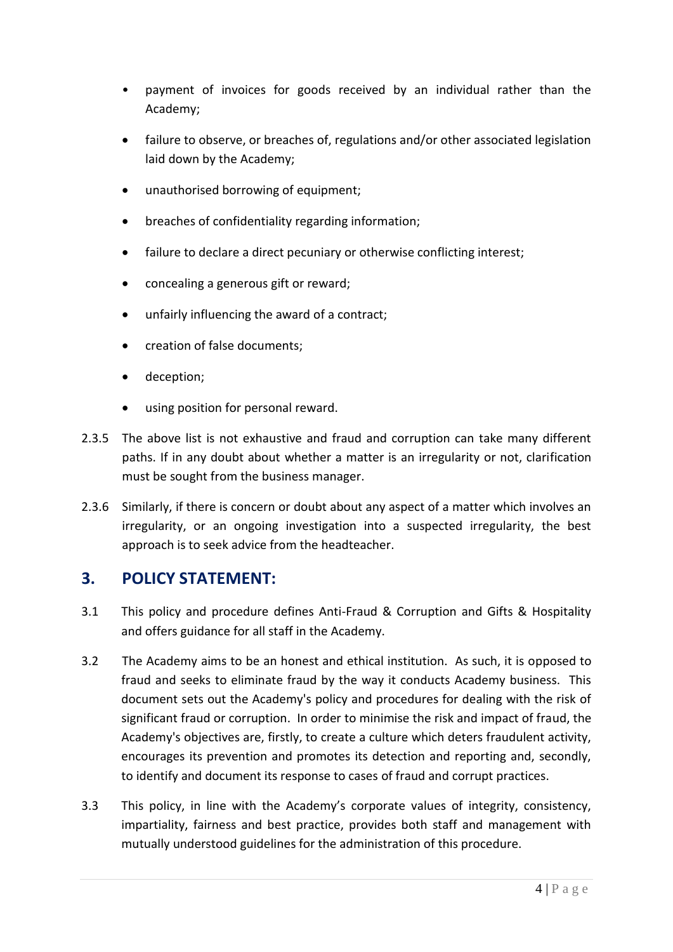- payment of invoices for goods received by an individual rather than the Academy;
- failure to observe, or breaches of, regulations and/or other associated legislation laid down by the Academy;
- unauthorised borrowing of equipment;
- breaches of confidentiality regarding information;
- failure to declare a direct pecuniary or otherwise conflicting interest;
- concealing a generous gift or reward;
- unfairly influencing the award of a contract;
- creation of false documents;
- deception;
- using position for personal reward.
- 2.3.5 The above list is not exhaustive and fraud and corruption can take many different paths. If in any doubt about whether a matter is an irregularity or not, clarification must be sought from the business manager.
- 2.3.6 Similarly, if there is concern or doubt about any aspect of a matter which involves an irregularity, or an ongoing investigation into a suspected irregularity, the best approach is to seek advice from the headteacher.

# **3. POLICY STATEMENT:**

- 3.1 This policy and procedure defines Anti-Fraud & Corruption and Gifts & Hospitality and offers guidance for all staff in the Academy.
- 3.2 The Academy aims to be an honest and ethical institution. As such, it is opposed to fraud and seeks to eliminate fraud by the way it conducts Academy business. This document sets out the Academy's policy and procedures for dealing with the risk of significant fraud or corruption. In order to minimise the risk and impact of fraud, the Academy's objectives are, firstly, to create a culture which deters fraudulent activity, encourages its prevention and promotes its detection and reporting and, secondly, to identify and document its response to cases of fraud and corrupt practices.
- 3.3 This policy, in line with the Academy's corporate values of integrity, consistency, impartiality, fairness and best practice, provides both staff and management with mutually understood guidelines for the administration of this procedure.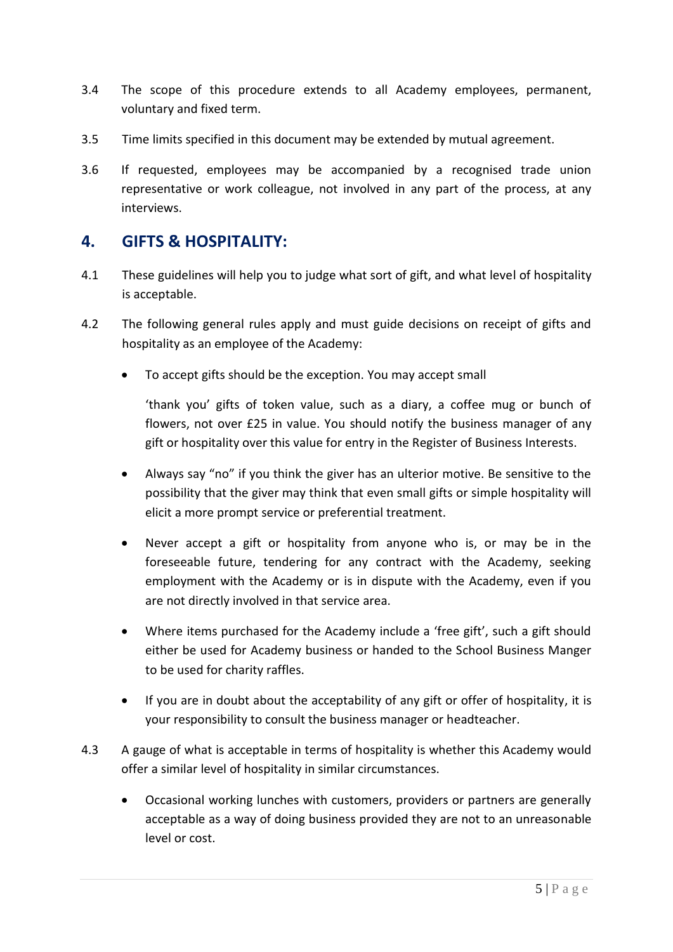- 3.4 The scope of this procedure extends to all Academy employees, permanent, voluntary and fixed term.
- 3.5 Time limits specified in this document may be extended by mutual agreement.
- 3.6 If requested, employees may be accompanied by a recognised trade union representative or work colleague, not involved in any part of the process, at any interviews.

# **4. GIFTS & HOSPITALITY:**

- 4.1 These guidelines will help you to judge what sort of gift, and what level of hospitality is acceptable.
- 4.2 The following general rules apply and must guide decisions on receipt of gifts and hospitality as an employee of the Academy:
	- To accept gifts should be the exception. You may accept small

'thank you' gifts of token value, such as a diary, a coffee mug or bunch of flowers, not over £25 in value. You should notify the business manager of any gift or hospitality over this value for entry in the Register of Business Interests.

- Always say "no" if you think the giver has an ulterior motive. Be sensitive to the possibility that the giver may think that even small gifts or simple hospitality will elicit a more prompt service or preferential treatment.
- Never accept a gift or hospitality from anyone who is, or may be in the foreseeable future, tendering for any contract with the Academy, seeking employment with the Academy or is in dispute with the Academy, even if you are not directly involved in that service area.
- Where items purchased for the Academy include a 'free gift', such a gift should either be used for Academy business or handed to the School Business Manger to be used for charity raffles.
- If you are in doubt about the acceptability of any gift or offer of hospitality, it is your responsibility to consult the business manager or headteacher.
- 4.3 A gauge of what is acceptable in terms of hospitality is whether this Academy would offer a similar level of hospitality in similar circumstances.
	- Occasional working lunches with customers, providers or partners are generally acceptable as a way of doing business provided they are not to an unreasonable level or cost.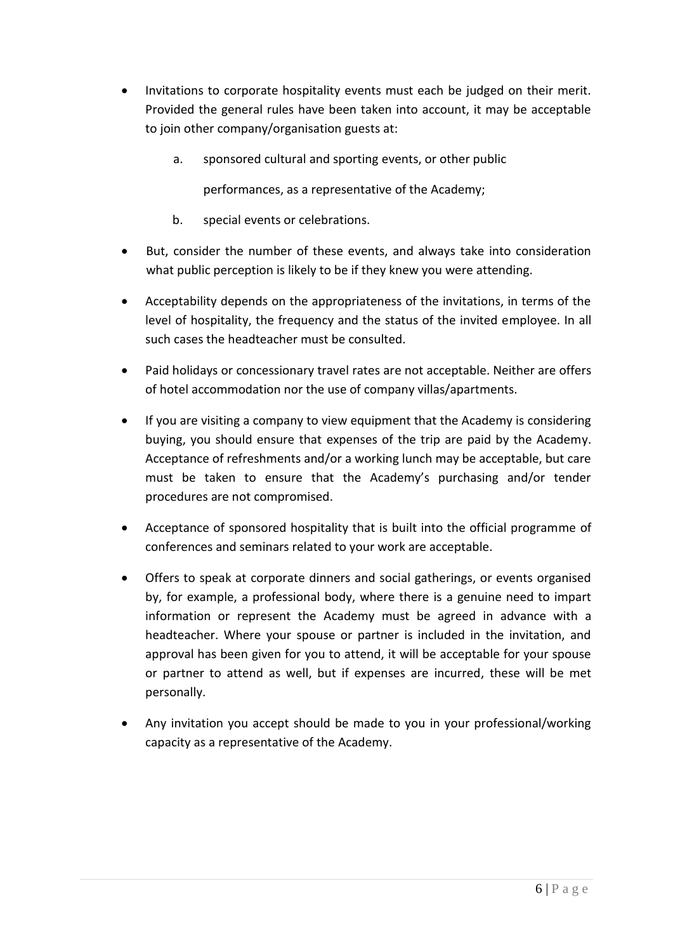- Invitations to corporate hospitality events must each be judged on their merit. Provided the general rules have been taken into account, it may be acceptable to join other company/organisation guests at:
	- a. sponsored cultural and sporting events, or other public

performances, as a representative of the Academy;

- b. special events or celebrations.
- But, consider the number of these events, and always take into consideration what public perception is likely to be if they knew you were attending.
- Acceptability depends on the appropriateness of the invitations, in terms of the level of hospitality, the frequency and the status of the invited employee. In all such cases the headteacher must be consulted.
- Paid holidays or concessionary travel rates are not acceptable. Neither are offers of hotel accommodation nor the use of company villas/apartments.
- If you are visiting a company to view equipment that the Academy is considering buying, you should ensure that expenses of the trip are paid by the Academy. Acceptance of refreshments and/or a working lunch may be acceptable, but care must be taken to ensure that the Academy's purchasing and/or tender procedures are not compromised.
- Acceptance of sponsored hospitality that is built into the official programme of conferences and seminars related to your work are acceptable.
- Offers to speak at corporate dinners and social gatherings, or events organised by, for example, a professional body, where there is a genuine need to impart information or represent the Academy must be agreed in advance with a headteacher. Where your spouse or partner is included in the invitation, and approval has been given for you to attend, it will be acceptable for your spouse or partner to attend as well, but if expenses are incurred, these will be met personally.
- Any invitation you accept should be made to you in your professional/working capacity as a representative of the Academy.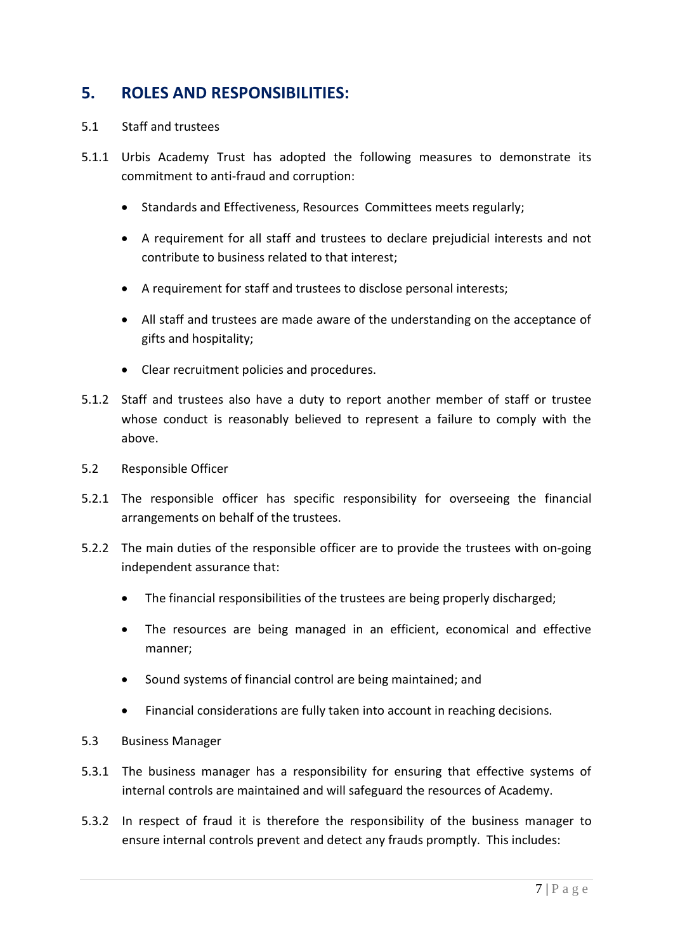# **5. ROLES AND RESPONSIBILITIES:**

#### 5.1 Staff and trustees

- 5.1.1 Urbis Academy Trust has adopted the following measures to demonstrate its commitment to anti-fraud and corruption:
	- Standards and Effectiveness, Resources Committees meets regularly;
	- A requirement for all staff and trustees to declare prejudicial interests and not contribute to business related to that interest;
	- A requirement for staff and trustees to disclose personal interests;
	- All staff and trustees are made aware of the understanding on the acceptance of gifts and hospitality;
	- Clear recruitment policies and procedures.
- 5.1.2 Staff and trustees also have a duty to report another member of staff or trustee whose conduct is reasonably believed to represent a failure to comply with the above.
- 5.2 Responsible Officer
- 5.2.1 The responsible officer has specific responsibility for overseeing the financial arrangements on behalf of the trustees.
- 5.2.2 The main duties of the responsible officer are to provide the trustees with on-going independent assurance that:
	- The financial responsibilities of the trustees are being properly discharged;
	- The resources are being managed in an efficient, economical and effective manner;
	- Sound systems of financial control are being maintained; and
	- Financial considerations are fully taken into account in reaching decisions.
- 5.3 Business Manager
- 5.3.1 The business manager has a responsibility for ensuring that effective systems of internal controls are maintained and will safeguard the resources of Academy.
- 5.3.2 In respect of fraud it is therefore the responsibility of the business manager to ensure internal controls prevent and detect any frauds promptly. This includes: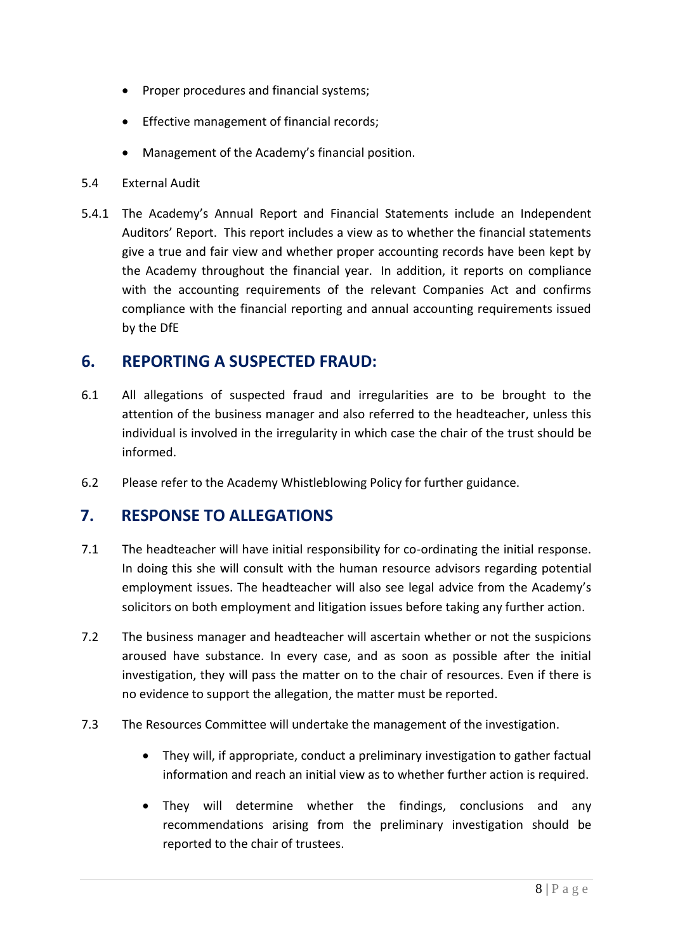- Proper procedures and financial systems;
- **•** Effective management of financial records;
- Management of the Academy's financial position.
- 5.4 External Audit
- 5.4.1 The Academy's Annual Report and Financial Statements include an Independent Auditors' Report. This report includes a view as to whether the financial statements give a true and fair view and whether proper accounting records have been kept by the Academy throughout the financial year. In addition, it reports on compliance with the accounting requirements of the relevant Companies Act and confirms compliance with the financial reporting and annual accounting requirements issued by the DfE

# **6. REPORTING A SUSPECTED FRAUD:**

- 6.1 All allegations of suspected fraud and irregularities are to be brought to the attention of the business manager and also referred to the headteacher, unless this individual is involved in the irregularity in which case the chair of the trust should be informed.
- 6.2 Please refer to the Academy Whistleblowing Policy for further guidance.

### **7. RESPONSE TO ALLEGATIONS**

- 7.1 The headteacher will have initial responsibility for co-ordinating the initial response. In doing this she will consult with the human resource advisors regarding potential employment issues. The headteacher will also see legal advice from the Academy's solicitors on both employment and litigation issues before taking any further action.
- 7.2 The business manager and headteacher will ascertain whether or not the suspicions aroused have substance. In every case, and as soon as possible after the initial investigation, they will pass the matter on to the chair of resources. Even if there is no evidence to support the allegation, the matter must be reported.
- 7.3 The Resources Committee will undertake the management of the investigation.
	- They will, if appropriate, conduct a preliminary investigation to gather factual information and reach an initial view as to whether further action is required.
	- They will determine whether the findings, conclusions and any recommendations arising from the preliminary investigation should be reported to the chair of trustees.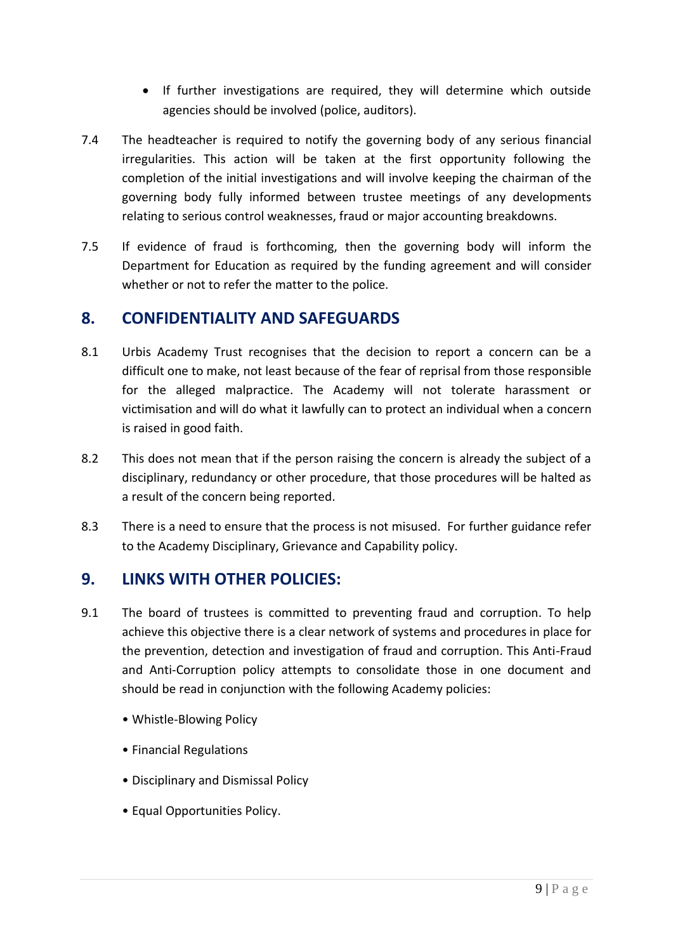- If further investigations are required, they will determine which outside agencies should be involved (police, auditors).
- 7.4 The headteacher is required to notify the governing body of any serious financial irregularities. This action will be taken at the first opportunity following the completion of the initial investigations and will involve keeping the chairman of the governing body fully informed between trustee meetings of any developments relating to serious control weaknesses, fraud or major accounting breakdowns.
- 7.5 If evidence of fraud is forthcoming, then the governing body will inform the Department for Education as required by the funding agreement and will consider whether or not to refer the matter to the police.

# **8. CONFIDENTIALITY AND SAFEGUARDS**

- 8.1 Urbis Academy Trust recognises that the decision to report a concern can be a difficult one to make, not least because of the fear of reprisal from those responsible for the alleged malpractice. The Academy will not tolerate harassment or victimisation and will do what it lawfully can to protect an individual when a concern is raised in good faith.
- 8.2 This does not mean that if the person raising the concern is already the subject of a disciplinary, redundancy or other procedure, that those procedures will be halted as a result of the concern being reported.
- 8.3 There is a need to ensure that the process is not misused. For further guidance refer to the Academy Disciplinary, Grievance and Capability policy.

# **9. LINKS WITH OTHER POLICIES:**

- 9.1 The board of trustees is committed to preventing fraud and corruption. To help achieve this objective there is a clear network of systems and procedures in place for the prevention, detection and investigation of fraud and corruption. This Anti-Fraud and Anti-Corruption policy attempts to consolidate those in one document and should be read in conjunction with the following Academy policies:
	- Whistle-Blowing Policy
	- Financial Regulations
	- Disciplinary and Dismissal Policy
	- Equal Opportunities Policy.